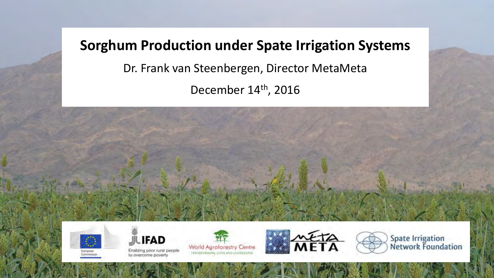## **Sorghum Production under Spate Irrigation Systems**

Dr. Frank van Steenbergen, Director MetaMeta

December 14<sup>th</sup>, 2016





Enabling poor rural people to overcome poverty







**Spate Irrigation<br>Network Foundation**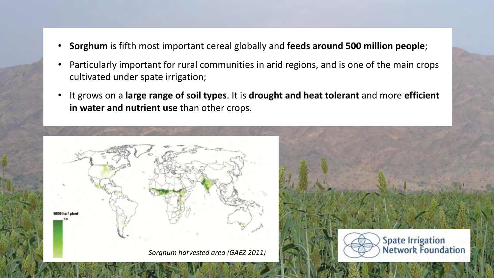- Sorghum is fifth most important cereal globally and feeds around 500 million people;
- Particularly important for rural communities in arid regions, and is one of the main crops cultivated under spate irrigation;
- It grows on a large range of soil types. It is drought and heat tolerant and more efficient in water and nutrient use than other crops.

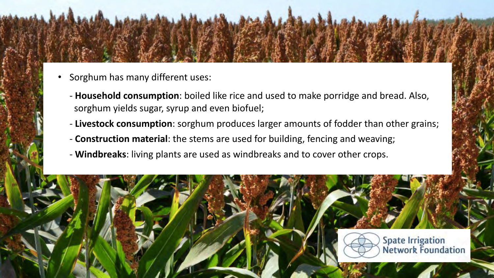- Sorghum has many different uses:
	- **Household consumption**: boiled like rice and used to make porridge and bread. Also, sorghum yields sugar, syrup and even biofuel;
	- Livestock consumption: sorghum produces larger amounts of fodder than other grains;
	- **Construction material**: the stems are used for building, fencing and weaving;
	- **Windbreaks**: living plants are used as windbreaks and to cover other crops.

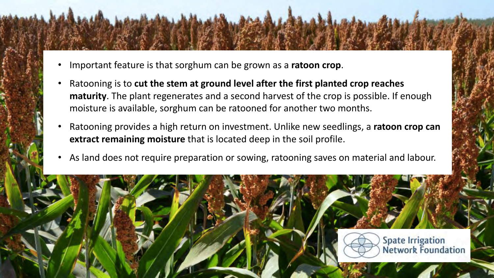- Important feature is that sorghum can be grown as a **ratoon crop**.
- Ratooning is to cut the stem at ground level after the first planted crop reaches **maturity**. The plant regenerates and a second harvest of the crop is possible. If enough moisture is available, sorghum can be ratooned for another two months.
- Ratooning provides a high return on investment. Unlike new seedlings, a ratoon crop can **extract remaining moisture** that is located deep in the soil profile.
- As land does not require preparation or sowing, ratooning saves on material and labour.

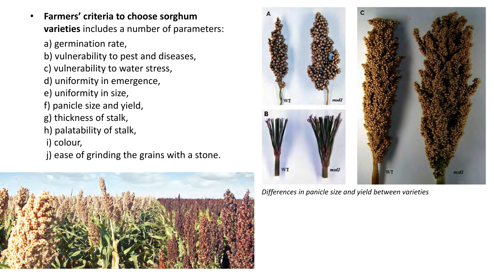- **Farmers' criteria to choose sorghum varieties** includes a number of parameters:
	- a) germination rate,
	- b) vulnerability to pest and diseases,
	- c) vulnerability to water stress,
	- d) uniformity in emergence,
	- e) uniformity in size,
	- f) panicle size and yield,
	- g) thickness of stalk,
	- h) palatability of stalk,
	- i) colour,
	- j) ease of grinding the grains with a stone.





*Differences in panicle size and yield between varieties*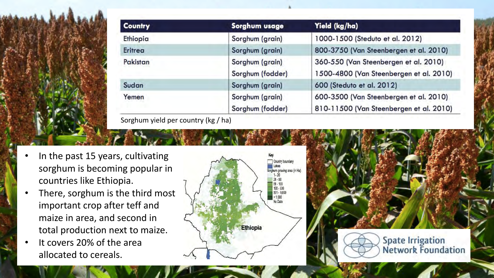

| <b>Country</b> | Sorghum usage                       | Yield (kg/ha)                                                                     |  |
|----------------|-------------------------------------|-----------------------------------------------------------------------------------|--|
| Ethiopia       | Sorghum (grain)                     | 1000-1500 (Steduto et al. 2012)                                                   |  |
| Eritrea        | Sorghum (grain)                     | 800-3750 (Van Steenbergen et al. 2010)                                            |  |
| Pakistan       | Sorghum (grain)<br>Sorghum (fodder) | 360-550 (Van Steenbergen et al. 2010)<br>1500-4800 (Van Steenbergen et al. 2010)  |  |
| Sudan          | Sorghum (grain)                     | 600 (Steduto et al. 2012)                                                         |  |
| Yemen          | Sorghum (grain)<br>Sorghum (fodder) | 600-3500 (Van Steenbergen et al. 2010)<br>810-11500 (Van Steenbergen et al. 2010) |  |

- In the past 15 years, cultivating sorghum is becoming popular in countries like Ethiopia.
- There, sorghum is the third most important crop after teff and maize in area, and second in total production next to maize.
- It covers 20% of the area allocated to cereals.





**Spate Irrigation**<br>Network Foundation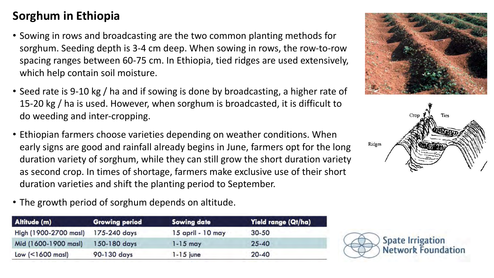## **Sorghum in Ethiopia**

- Sowing in rows and broadcasting are the two common planting methods for sorghum. Seeding depth is 3-4 cm deep. When sowing in rows, the row-to-row spacing ranges between 60-75 cm. In Ethiopia, tied ridges are used extensively, which help contain soil moisture.
- Seed rate is 9-10 kg / ha and if sowing is done by broadcasting, a higher rate of 15-20 kg / ha is used. However, when sorghum is broadcasted, it is difficult to do weeding and inter-cropping.
- Ethiopian farmers choose varieties depending on weather conditions. When early signs are good and rainfall already begins in June, farmers opt for the long duration variety of sorghum, while they can still grow the short duration variety as second crop. In times of shortage, farmers make exclusive use of their short duration varieties and shift the planting period to September.
- The growth period of sorghum depends on altitude.

| Altitude (m)                 | <b>Growing period</b> | <b>Sowing date</b> | Yield range (Qt/ha) |  |
|------------------------------|-----------------------|--------------------|---------------------|--|
| High (1900-2700 masl)        | 175-240 days          | 15 april - 10 may  | $30 - 50$           |  |
| Mid (1600-1900 masl)         | 150-180 days          | $1 - 15$ may       | $25 - 40$           |  |
| Low $($ $1600 \text{ mas}$ ) | 90-130 days           | $1 - 15$ june      | $20 - 40$           |  |





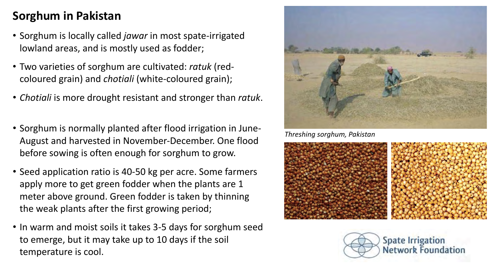### **Sorghum in Pakistan**

- Sorghum is locally called *jawar* in most spate-irrigated lowland areas, and is mostly used as fodder;
- Two varieties of sorghum are cultivated: *ratuk* (redcoloured grain) and *chotiali* (white-coloured grain);
- *Chotiali* is more drought resistant and stronger than *ratuk*.
- Sorghum is normally planted after flood irrigation in June-August and harvested in November-December. One flood before sowing is often enough for sorghum to grow.
- Seed application ratio is 40-50 kg per acre. Some farmers apply more to get green fodder when the plants are 1 meter above ground. Green fodder is taken by thinning the weak plants after the first growing period;
- In warm and moist soils it takes 3-5 days for sorghum seed to emerge, but it may take up to 10 days if the soil temperature is cool.



**Threshing sorghum, Pakistan** 



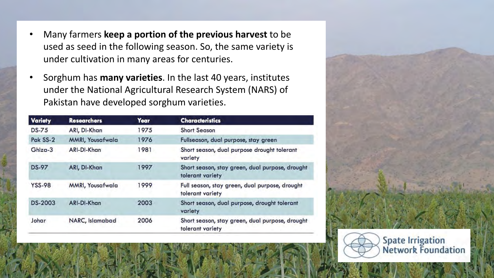- Many farmers **keep a portion of the previous harvest** to be used as seed in the following season. So, the same variety is under cultivation in many areas for centuries.
- Sorghum has **many varieties**. In the last 40 years, institutes under the National Agricultural Research System (NARS) of Pakistan have developed sorghum varieties.

| <b>Variety</b> | <b>Researchers</b>              | Year                                                            | <b>Characteristics</b>                                              |  |
|----------------|---------------------------------|-----------------------------------------------------------------|---------------------------------------------------------------------|--|
| <b>DS-75</b>   | ARI, DI-Khan                    | 1975                                                            | <b>Short Season</b>                                                 |  |
| Pak SS-2       | <b>MMRI, Yousafwala</b>         | 1976                                                            | Fullseason, dual purpose, stay green                                |  |
| Ghiza-3        | ARI-DI-Khan                     | 1981<br>Short season, dual purpose drought tolerant<br>variety  |                                                                     |  |
| <b>DS-97</b>   | ARI, DI-Khan                    | 1997                                                            | Short season, stay green, dual purpose, drought<br>tolerant variety |  |
| <b>YSS-98</b>  | <b>MMRI, Yousafwala</b><br>1999 |                                                                 | Full season, stay green, dual purpose, drought<br>tolerant variety  |  |
| DS-2003        | ARI-DI-Khan                     | 2003<br>Short season, dual purpose, drought tolerant<br>variety |                                                                     |  |
| Johar          | NARC, Islamabad                 | 2006                                                            | Short season, stay green, dual purpose, drought<br>tolerant variety |  |

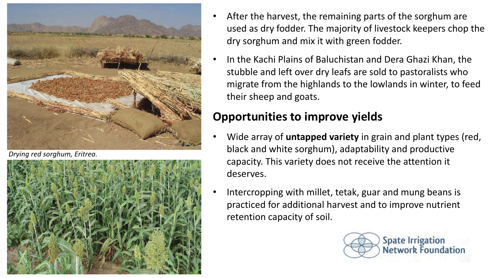

**Drying red sorghum, Eritrea.** 



- After the harvest, the remaining parts of the sorghum are used as dry fodder. The majority of livestock keepers chop the dry sorghum and mix it with green fodder.
- In the Kachi Plains of Baluchistan and Dera Ghazi Khan, the stubble and left over dry leafs are sold to pastoralists who migrate from the highlands to the lowlands in winter, to feed their sheep and goats.

## **Opportunities to improve yields**

- Wide array of **untapped variety** in grain and plant types (red, black and white sorghum), adaptability and productive capacity. This variety does not receive the attention it deserves.
- Intercropping with millet, tetak, guar and mung beans is practiced for additional harvest and to improve nutrient retention capacity of soil.

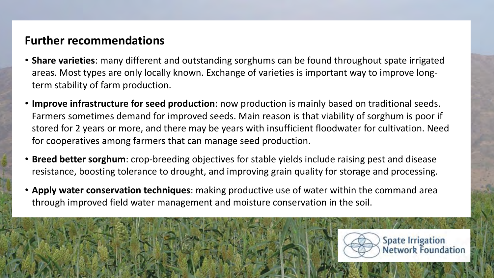#### **Further recommendations**

- Share varieties: many different and outstanding sorghums can be found throughout spate irrigated areas. Most types are only locally known. Exchange of varieties is important way to improve longterm stability of farm production.
- **Improve infrastructure for seed production**: now production is mainly based on traditional seeds. Farmers sometimes demand for improved seeds. Main reason is that viability of sorghum is poor if stored for 2 years or more, and there may be years with insufficient floodwater for cultivation. Need for cooperatives among farmers that can manage seed production.
- Breed better sorghum: crop-breeding objectives for stable yields include raising pest and disease resistance, boosting tolerance to drought, and improving grain quality for storage and processing.
- Apply water conservation techniques: making productive use of water within the command area through improved field water management and moisture conservation in the soil.



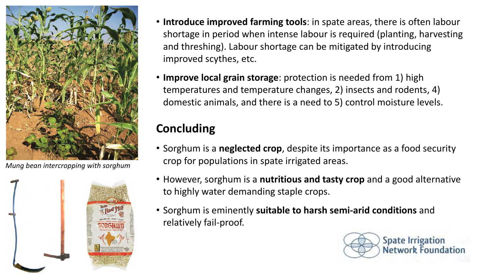

*Mung bean intercropping with sorghum*



- **Introduce improved farming tools**: in spate areas, there is often labour shortage in period when intense labour is required (planting, harvesting and threshing). Labour shortage can be mitigated by introducing improved scythes, etc.
- Improve local grain storage: protection is needed from 1) high temperatures and temperature changes, 2) insects and rodents, 4) domestic animals, and there is a need to 5) control moisture levels.

# **Concluding**

- Sorghum is a **neglected crop**, despite its importance as a food security crop for populations in spate irrigated areas.
- However, sorghum is a **nutritious and tasty crop** and a good alternative to highly water demanding staple crops.
- Sorghum is eminently suitable to harsh semi-arid conditions and relatively fail-proof.